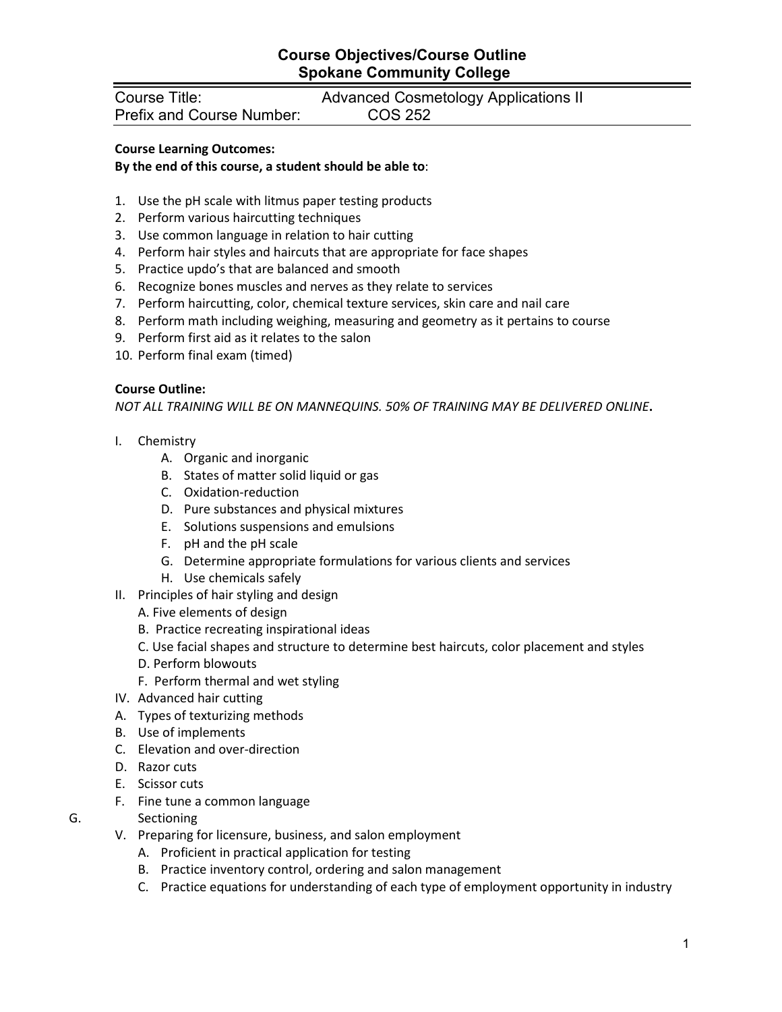## **Course Objectives/Course Outline Spokane Community College**

Course Title: Advanced Cosmetology Applications II Prefix and Course Number:

### **Course Learning Outcomes:**

#### **By the end of this course, a student should be able to**:

- 1. Use the pH scale with litmus paper testing products
- 2. Perform various haircutting techniques
- 3. Use common language in relation to hair cutting
- 4. Perform hair styles and haircuts that are appropriate for face shapes
- 5. Practice updo's that are balanced and smooth
- 6. Recognize bones muscles and nerves as they relate to services
- 7. Perform haircutting, color, chemical texture services, skin care and nail care
- 8. Perform math including weighing, measuring and geometry as it pertains to course
- 9. Perform first aid as it relates to the salon
- 10. Perform final exam (timed)

#### **Course Outline:**

*NOT ALL TRAINING WILL BE ON MANNEQUINS. 50% OF TRAINING MAY BE DELIVERED ONLINE***.**

- I. Chemistry
	- A. Organic and inorganic
	- B. States of matter solid liquid or gas
	- C. Oxidation-reduction
	- D. Pure substances and physical mixtures
	- E. Solutions suspensions and emulsions
	- F. pH and the pH scale
	- G. Determine appropriate formulations for various clients and services
	- H. Use chemicals safely
- II. Principles of hair styling and design
	- A. Five elements of design
	- B. Practice recreating inspirational ideas
	- C. Use facial shapes and structure to determine best haircuts, color placement and styles
	- D. Perform blowouts
	- F. Perform thermal and wet styling
- IV. Advanced hair cutting
- A. Types of texturizing methods
- B. Use of implements
- C. Elevation and over-direction
- D. Razor cuts
- E. Scissor cuts
- F. Fine tune a common language
- G. Sectioning
	- V. Preparing for licensure, business, and salon employment
		- A. Proficient in practical application for testing
		- B. Practice inventory control, ordering and salon management
		- C. Practice equations for understanding of each type of employment opportunity in industry